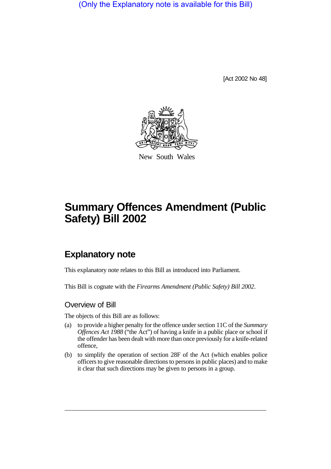(Only the Explanatory note is available for this Bill)

[Act 2002 No 48]



New South Wales

# **Summary Offences Amendment (Public Safety) Bill 2002**

# **Explanatory note**

This explanatory note relates to this Bill as introduced into Parliament.

This Bill is cognate with the *Firearms Amendment (Public Safety) Bill 2002*.

### Overview of Bill

The objects of this Bill are as follows:

- (a) to provide a higher penalty for the offence under section 11C of the *Summary Offences Act 1988* ("the Act") of having a knife in a public place or school if the offender has been dealt with more than once previously for a knife-related offence,
- (b) to simplify the operation of section 28F of the Act (which enables police officers to give reasonable directions to persons in public places) and to make it clear that such directions may be given to persons in a group.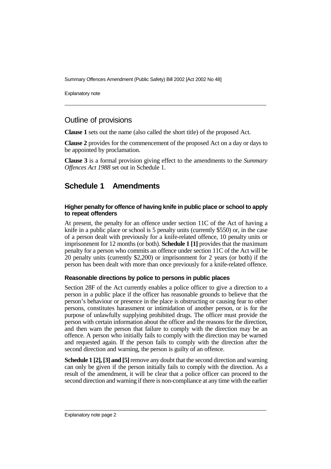Summary Offences Amendment (Public Safety) Bill 2002 [Act 2002 No 48]

Explanatory note

#### Outline of provisions

**Clause 1** sets out the name (also called the short title) of the proposed Act.

**Clause 2** provides for the commencement of the proposed Act on a day or days to be appointed by proclamation.

**Clause 3** is a formal provision giving effect to the amendments to the *Summary Offences Act 1988* set out in Schedule 1.

## **Schedule 1 Amendments**

#### **Higher penalty for offence of having knife in public place or school to apply to repeat offenders**

At present, the penalty for an offence under section 11C of the Act of having a knife in a public place or school is 5 penalty units (currently \$550) or, in the case of a person dealt with previously for a knife-related offence, 10 penalty units or imprisonment for 12 months (or both). **Schedule 1 [1]** provides that the maximum penalty for a person who commits an offence under section 11C of the Act will be 20 penalty units (currently \$2,200) or imprisonment for 2 years (or both) if the person has been dealt with more than once previously for a knife-related offence.

#### **Reasonable directions by police to persons in public places**

Section 28F of the Act currently enables a police officer to give a direction to a person in a public place if the officer has reasonable grounds to believe that the person's behaviour or presence in the place is obstructing or causing fear to other persons, constitutes harassment or intimidation of another person, or is for the purpose of unlawfully supplying prohibited drugs. The officer must provide the person with certain information about the officer and the reasons for the direction, and then warn the person that failure to comply with the direction may be an offence. A person who initially fails to comply with the direction may be warned and requested again. If the person fails to comply with the direction after the second direction and warning, the person is guilty of an offence.

**Schedule 1 [2], [3] and [5]** remove any doubt that the second direction and warning can only be given if the person initially fails to comply with the direction. As a result of the amendment, it will be clear that a police officer can proceed to the second direction and warning if there is non-compliance at any time with the earlier